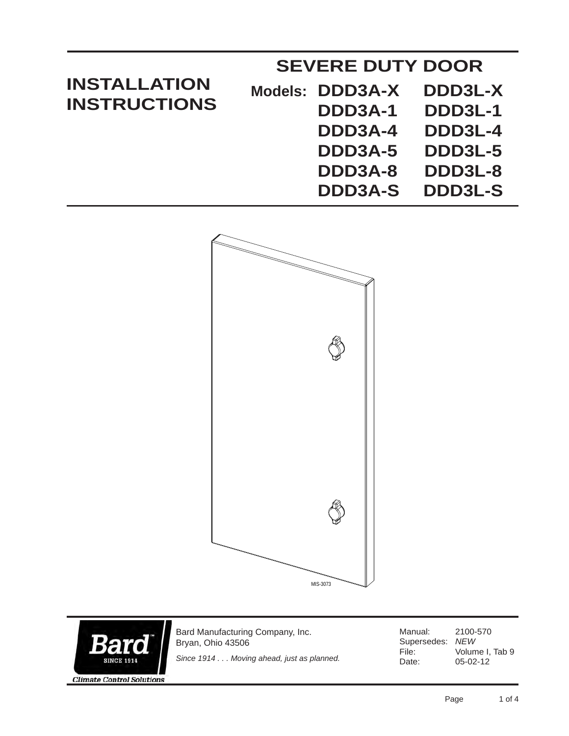| <b>INSTALLATION</b><br><b>INSTRUCTIONS</b> | <b>SEVERE DUTY DOOR</b> |                |
|--------------------------------------------|-------------------------|----------------|
|                                            | Models: DDD3A-X         | DDD3L-X        |
|                                            | DDD3A-1                 | DDD3L-1        |
|                                            | DDD3A-4                 | DDD3L-4        |
|                                            | DDD3A-5                 | DDD3L-5        |
|                                            | DDD3A-8                 | DDD3L-8        |
|                                            | <b>DDD3A-S</b>          | <b>DDD3L-S</b> |



Bard Manufacturing Company, Inc. 15 Bryan, Ohio 43506 *Since 1914 . . . Moving ahead, just as planned.***SINCE 1914** 

Manual: 2100-570 Supersedes: *NEW* File: Volume I, Tab 9<br>Date: 05-02-12 05-02-12

**Climate Control Solutions**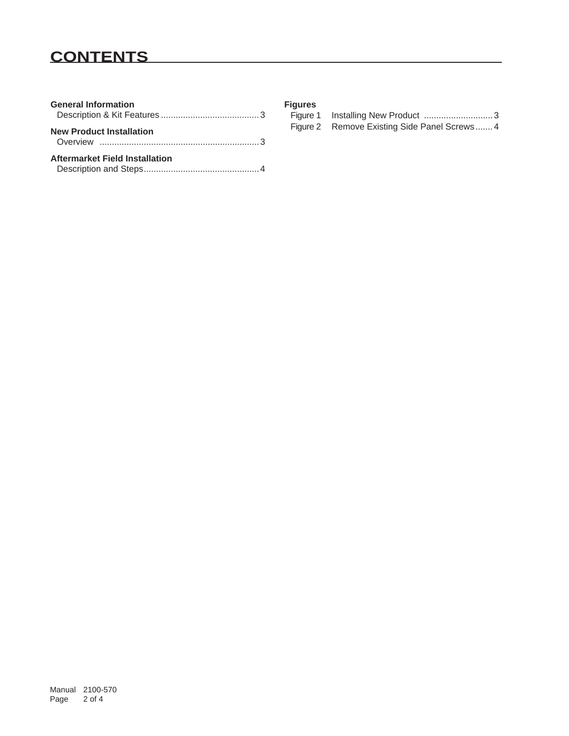# **CONTENTS**

| <b>General Information</b>      |
|---------------------------------|
| <b>New Product Installation</b> |
| Aftermarket Field Installation  |

|  |  | ٠<br>×<br>× |  |
|--|--|-------------|--|

| <b>Figures</b> |                                              |
|----------------|----------------------------------------------|
|                |                                              |
|                | Figure 2 Remove Existing Side Panel Screws 4 |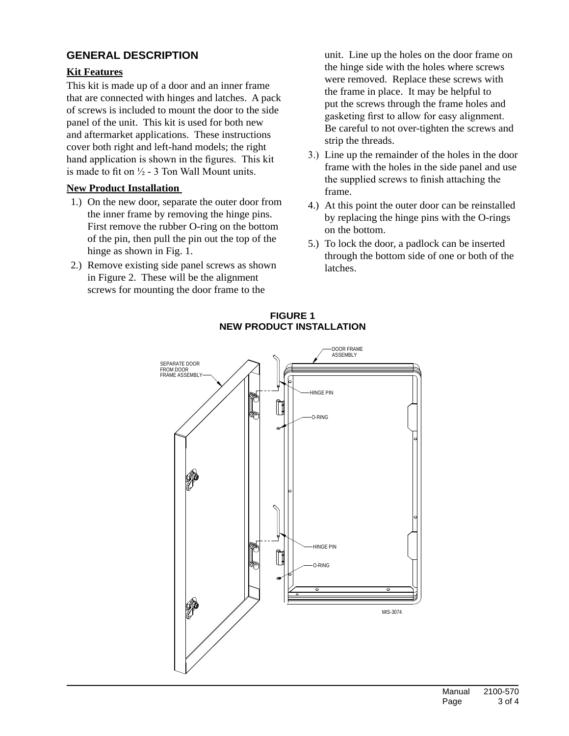## **general description**

## **Kit Features**

This kit is made up of a door and an inner frame that are connected with hinges and latches. A pack of screws is included to mount the door to the side panel of the unit. This kit is used for both new and aftermarket applications. These instructions cover both right and left-hand models; the right hand application is shown in the figures. This kit is made to fit on  $\frac{1}{2}$  - 3 Ton Wall Mount units.

### **New Product Installation**

- 1.) On the new door, separate the outer door from the inner frame by removing the hinge pins. First remove the rubber O-ring on the bottom of the pin, then pull the pin out the top of the hinge as shown in Fig. 1.
- 2.) Remove existing side panel screws as shown in Figure 2. These will be the alignment screws for mounting the door frame to the

unit. Line up the holes on the door frame on the hinge side with the holes where screws were removed. Replace these screws with the frame in place. It may be helpful to put the screws through the frame holes and gasketing first to allow for easy alignment. Be careful to not over-tighten the screws and strip the threads.

- 3.) Line up the remainder of the holes in the door frame with the holes in the side panel and use the supplied screws to finish attaching the frame.
- 4.) At this point the outer door can be reinstalled by replacing the hinge pins with the O-rings on the bottom.
- 5.) To lock the door, a padlock can be inserted through the bottom side of one or both of the latches.



#### **figure 1 new product installation**